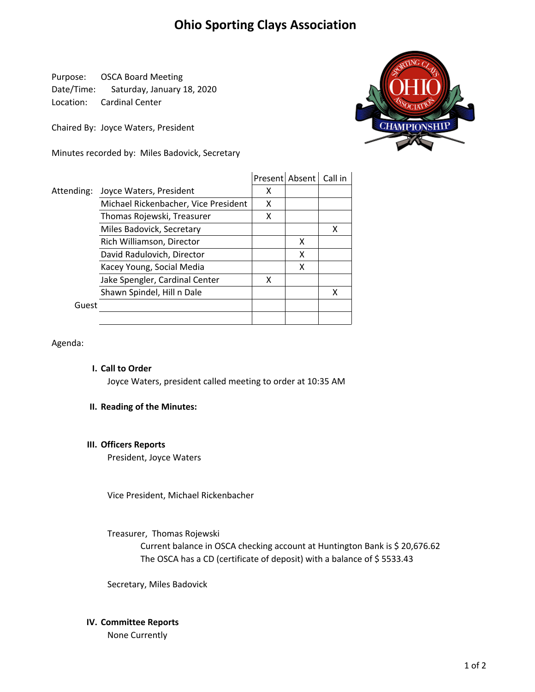# Ohio Sporting Clays Association

Purpose: OSCA Board Meeting Date/Time: Saturday, January 18, 2020 Location: Cardinal Center

Chaired By: Joyce Waters, President

Minutes recorded by: Miles Badovick, Secretary



|            |                                      |   | Present Absent   Call in |   |
|------------|--------------------------------------|---|--------------------------|---|
| Attending: | Joyce Waters, President              | x |                          |   |
|            | Michael Rickenbacher, Vice President | x |                          |   |
|            | Thomas Rojewski, Treasurer           | χ |                          |   |
|            | Miles Badovick, Secretary            |   |                          | х |
|            | Rich Williamson, Director            |   | x                        |   |
|            | David Radulovich, Director           |   | x                        |   |
|            | Kacey Young, Social Media            |   | x                        |   |
|            | Jake Spengler, Cardinal Center       | χ |                          |   |
|            | Shawn Spindel, Hill n Dale           |   |                          | x |
| Guest      |                                      |   |                          |   |
|            |                                      |   |                          |   |

Agenda:

# I. Call to Order

Joyce Waters, president called meeting to order at 10:35 AM

# II. Reading of the Minutes:

# III. Officers Reports

President, Joyce Waters

Vice President, Michael Rickenbacher

Treasurer, Thomas Rojewski

The OSCA has a CD (certificate of deposit) with a balance of \$5533.43 Current balance in OSCA checking account at Huntington Bank is \$ 20,676.62

Secretary, Miles Badovick

# IV. Committee Reports

None Currently